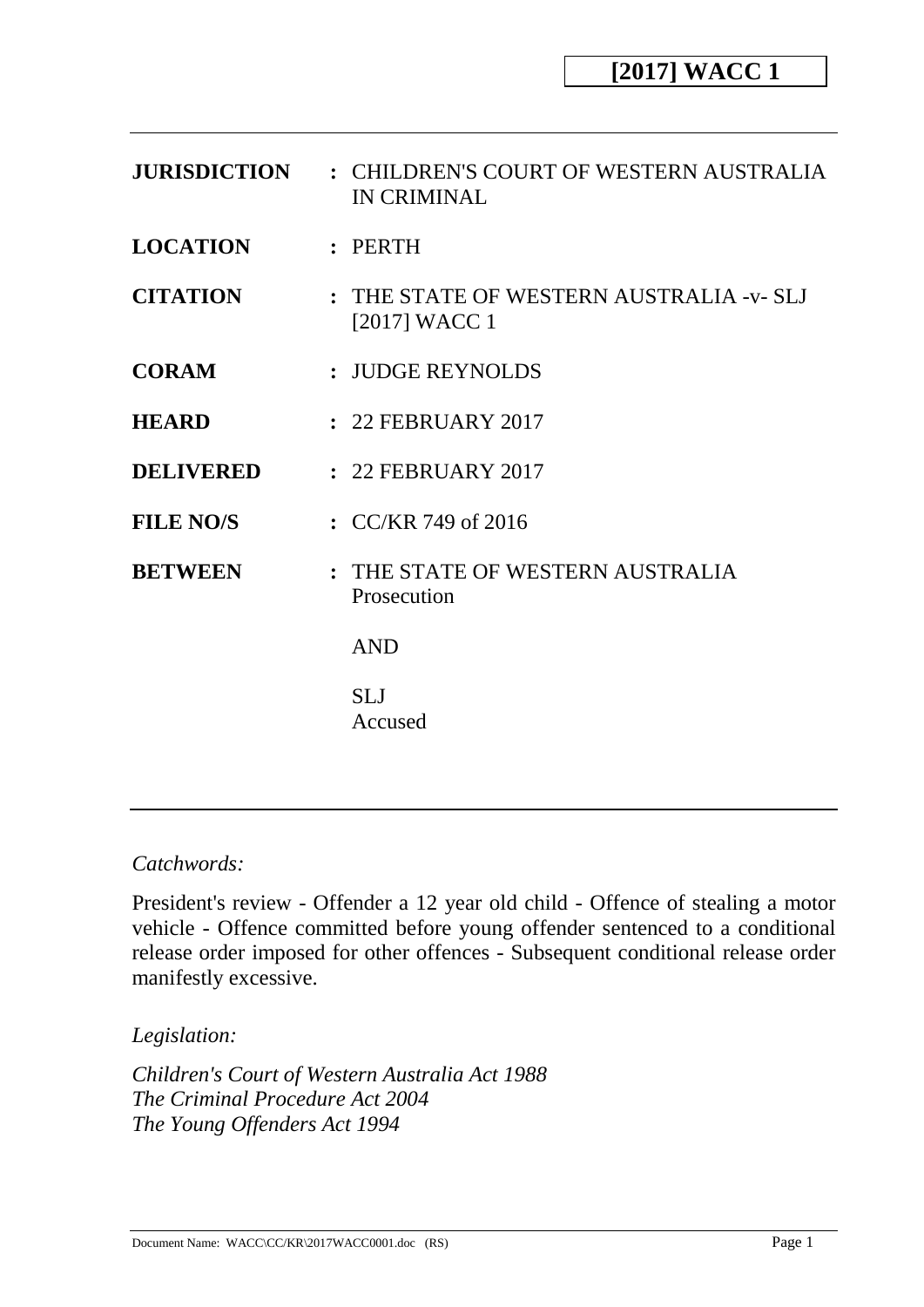| <b>JURISDICTION</b> | : CHILDREN'S COURT OF WESTERN AUSTRALIA<br>IN CRIMINAL      |
|---------------------|-------------------------------------------------------------|
| <b>LOCATION</b>     | :                                                           |
| <b>CITATION</b>     | : THE STATE OF WESTERN AUSTRALIA -v- SLJ<br>$[2017]$ WACC 1 |
| <b>CORAM</b>        | : JUDGE REYNOLDS                                            |
| <b>HEARD</b>        | : 22 FEBRUARY 2017                                          |
| <b>DELIVERED</b>    | : 22 FEBRUARY 2017                                          |
| <b>FILE NO/S</b>    | : $CC/KR$ 749 of 2016                                       |
| <b>BETWEEN</b>      | : THE STATE OF WESTERN AUSTRALIA<br>Prosecution             |
|                     | <b>AND</b>                                                  |
|                     | <b>SLJ</b><br>Accused                                       |

## *Catchwords:*

President's review - Offender a 12 year old child - Offence of stealing a motor vehicle - Offence committed before young offender sentenced to a conditional release order imposed for other offences - Subsequent conditional release order manifestly excessive.

*Legislation:*

*Children's Court of Western Australia Act 1988 The Criminal Procedure Act 2004 The Young Offenders Act 1994*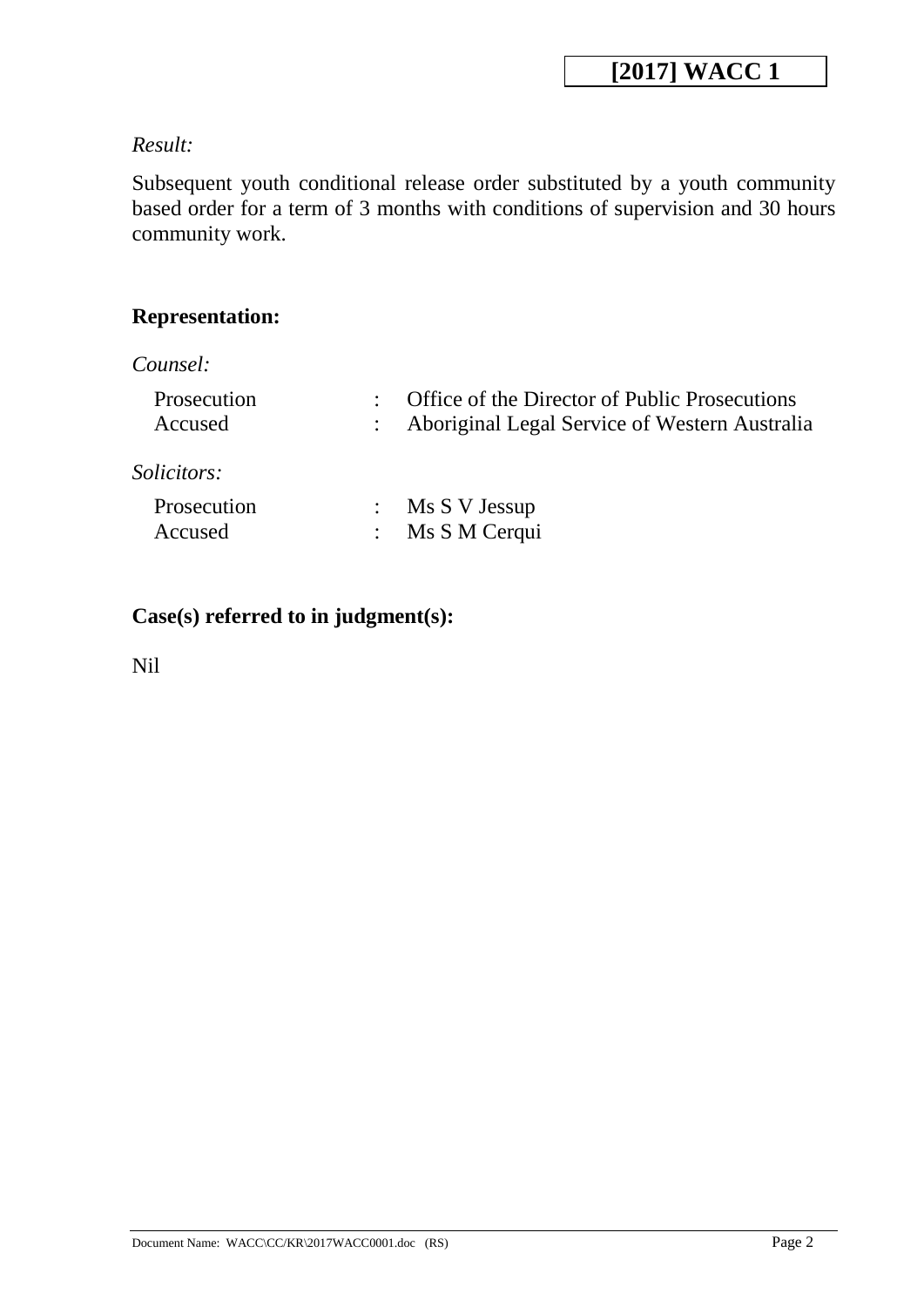## *Result:*

Subsequent youth conditional release order substituted by a youth community based order for a term of 3 months with conditions of supervision and 30 hours community work.

## **Representation:**

*Counsel:*

| Prosecution<br>Accused | Office of the Director of Public Prosecutions<br>: Aboriginal Legal Service of Western Australia |
|------------------------|--------------------------------------------------------------------------------------------------|
| <i>Solicitors:</i>     |                                                                                                  |
| Prosecution<br>Accused | $:$ Ms S V Jessup<br>: Ms S M Cerqui                                                             |

## **Case(s) referred to in judgment(s):**

Nil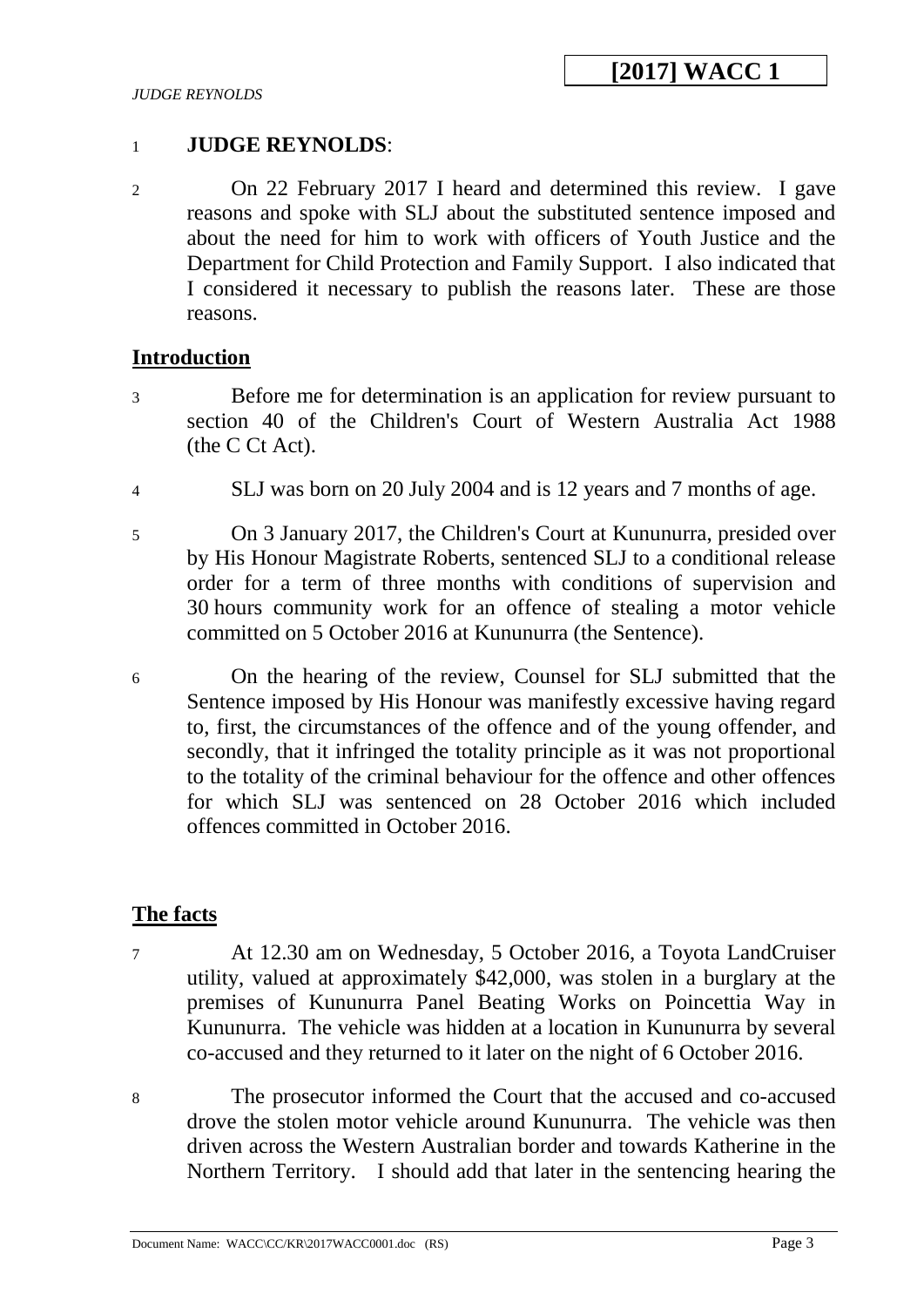### 1 **JUDGE REYNOLDS**:

2 On 22 February 2017 I heard and determined this review. I gave reasons and spoke with SLJ about the substituted sentence imposed and about the need for him to work with officers of Youth Justice and the Department for Child Protection and Family Support. I also indicated that I considered it necessary to publish the reasons later. These are those reasons.

### **Introduction**

- 3 Before me for determination is an application for review pursuant to section 40 of the Children's Court of Western Australia Act 1988 (the C Ct Act).
- 4 SLJ was born on 20 July 2004 and is 12 years and 7 months of age.
- 5 On 3 January 2017, the Children's Court at Kununurra, presided over by His Honour Magistrate Roberts, sentenced SLJ to a conditional release order for a term of three months with conditions of supervision and 30 hours community work for an offence of stealing a motor vehicle committed on 5 October 2016 at Kununurra (the Sentence).
- 6 On the hearing of the review, Counsel for SLJ submitted that the Sentence imposed by His Honour was manifestly excessive having regard to, first, the circumstances of the offence and of the young offender, and secondly, that it infringed the totality principle as it was not proportional to the totality of the criminal behaviour for the offence and other offences for which SLJ was sentenced on 28 October 2016 which included offences committed in October 2016.

### **The facts**

- 7 At 12.30 am on Wednesday, 5 October 2016, a Toyota LandCruiser utility, valued at approximately \$42,000, was stolen in a burglary at the premises of Kununurra Panel Beating Works on Poincettia Way in Kununurra. The vehicle was hidden at a location in Kununurra by several co-accused and they returned to it later on the night of 6 October 2016.
- 8 The prosecutor informed the Court that the accused and co-accused drove the stolen motor vehicle around Kununurra. The vehicle was then driven across the Western Australian border and towards Katherine in the Northern Territory. I should add that later in the sentencing hearing the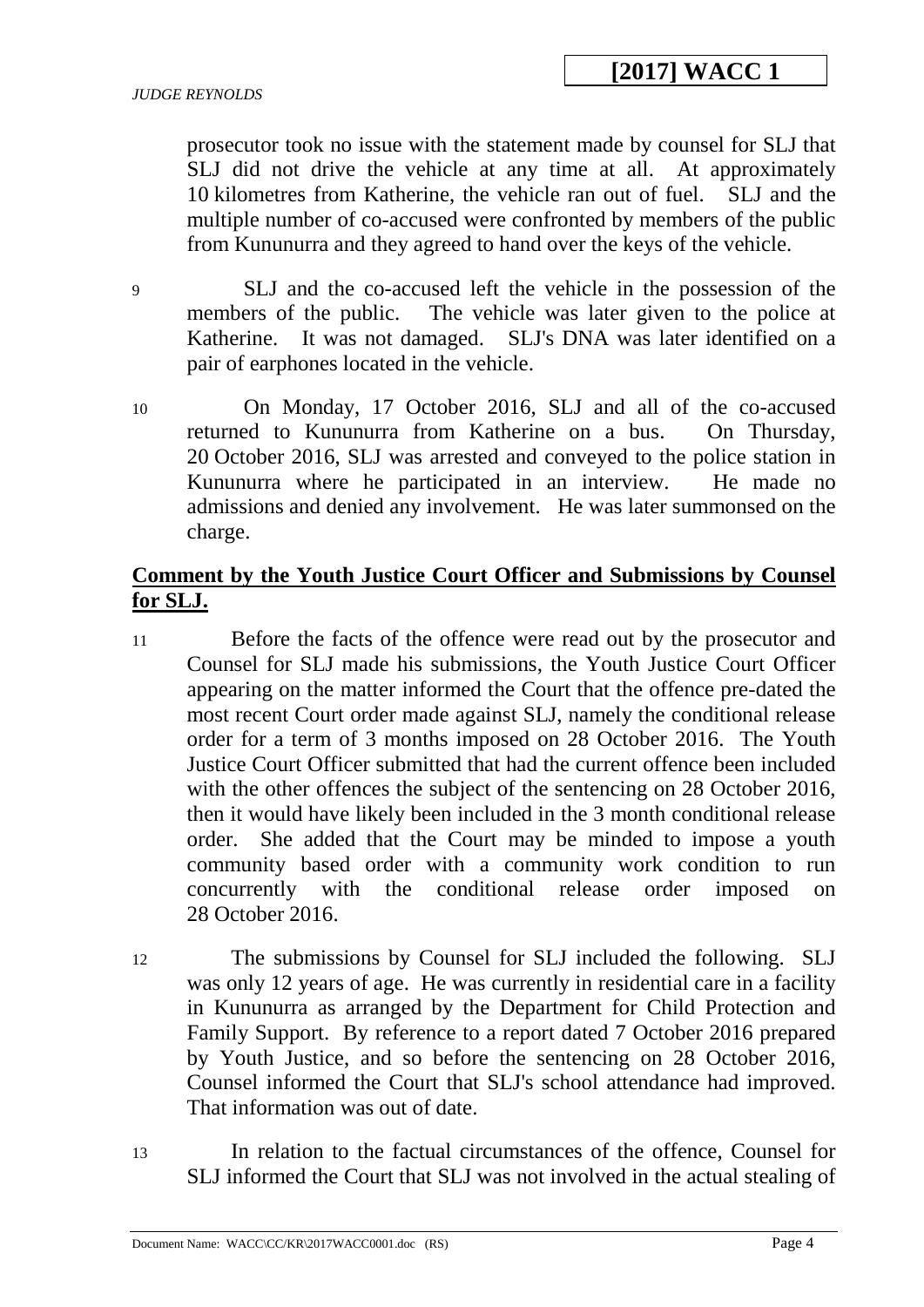prosecutor took no issue with the statement made by counsel for SLJ that SLJ did not drive the vehicle at any time at all. At approximately 10 kilometres from Katherine, the vehicle ran out of fuel. SLJ and the multiple number of co-accused were confronted by members of the public from Kununurra and they agreed to hand over the keys of the vehicle.

9 SLJ and the co-accused left the vehicle in the possession of the members of the public. The vehicle was later given to the police at Katherine. It was not damaged. SLJ's DNA was later identified on a pair of earphones located in the vehicle.

10 On Monday, 17 October 2016, SLJ and all of the co-accused returned to Kununurra from Katherine on a bus. On Thursday, 20 October 2016, SLJ was arrested and conveyed to the police station in Kununurra where he participated in an interview. He made no admissions and denied any involvement. He was later summonsed on the charge.

## **Comment by the Youth Justice Court Officer and Submissions by Counsel for SLJ.**

- 11 Before the facts of the offence were read out by the prosecutor and Counsel for SLJ made his submissions, the Youth Justice Court Officer appearing on the matter informed the Court that the offence pre-dated the most recent Court order made against SLJ, namely the conditional release order for a term of 3 months imposed on 28 October 2016. The Youth Justice Court Officer submitted that had the current offence been included with the other offences the subject of the sentencing on 28 October 2016, then it would have likely been included in the 3 month conditional release order. She added that the Court may be minded to impose a youth community based order with a community work condition to run concurrently with the conditional release order imposed on 28 October 2016.
- 12 The submissions by Counsel for SLJ included the following. SLJ was only 12 years of age. He was currently in residential care in a facility in Kununurra as arranged by the Department for Child Protection and Family Support. By reference to a report dated 7 October 2016 prepared by Youth Justice, and so before the sentencing on 28 October 2016, Counsel informed the Court that SLJ's school attendance had improved. That information was out of date.
- 13 In relation to the factual circumstances of the offence, Counsel for SLJ informed the Court that SLJ was not involved in the actual stealing of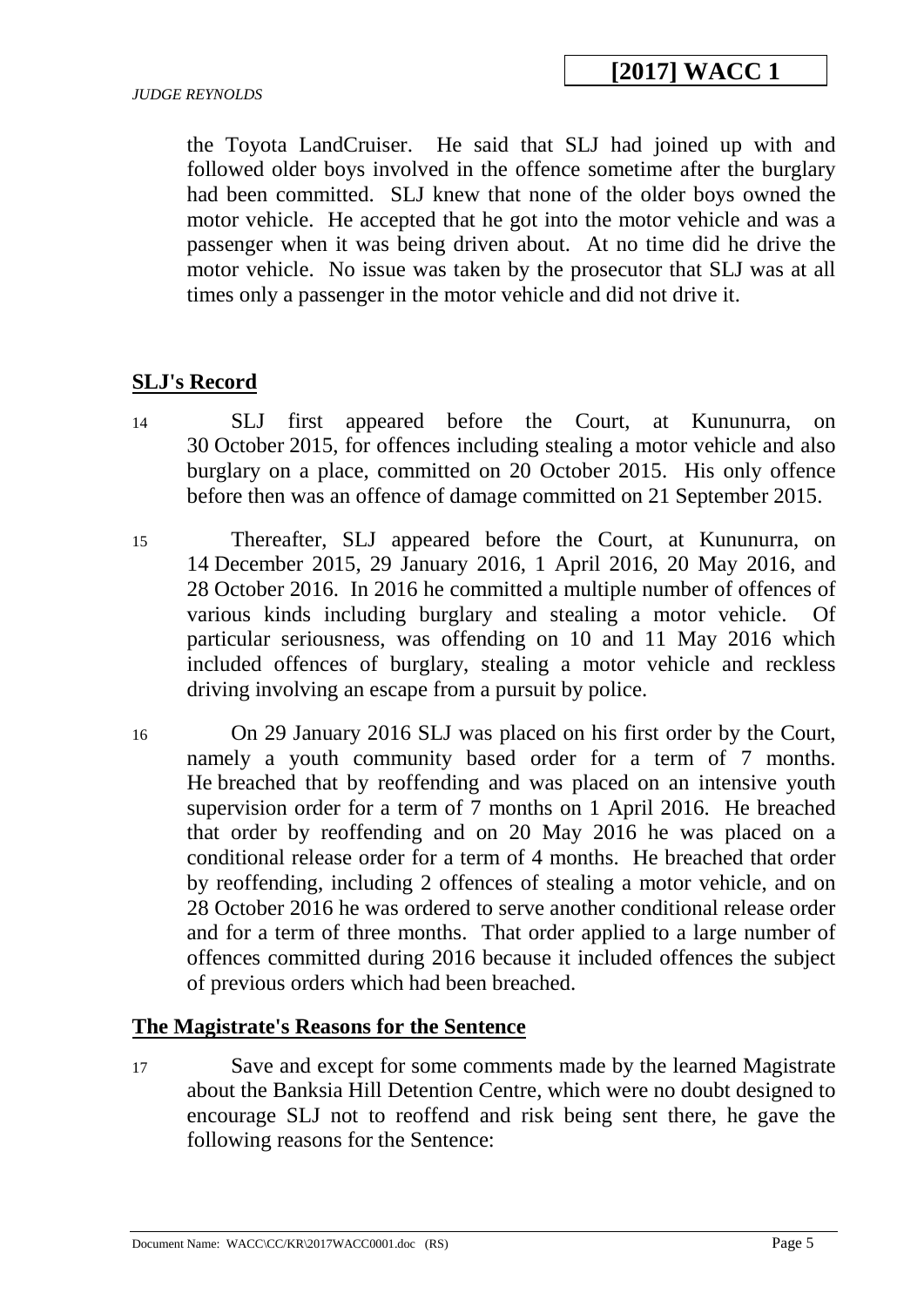the Toyota LandCruiser. He said that SLJ had joined up with and followed older boys involved in the offence sometime after the burglary had been committed. SLJ knew that none of the older boys owned the motor vehicle. He accepted that he got into the motor vehicle and was a passenger when it was being driven about. At no time did he drive the motor vehicle. No issue was taken by the prosecutor that SLJ was at all times only a passenger in the motor vehicle and did not drive it.

## **SLJ's Record**

- 14 SLJ first appeared before the Court, at Kununurra, on 30 October 2015, for offences including stealing a motor vehicle and also burglary on a place, committed on 20 October 2015. His only offence before then was an offence of damage committed on 21 September 2015.
- 15 Thereafter, SLJ appeared before the Court, at Kununurra, on 14 December 2015, 29 January 2016, 1 April 2016, 20 May 2016, and 28 October 2016. In 2016 he committed a multiple number of offences of various kinds including burglary and stealing a motor vehicle. Of particular seriousness, was offending on 10 and 11 May 2016 which included offences of burglary, stealing a motor vehicle and reckless driving involving an escape from a pursuit by police.
- 16 On 29 January 2016 SLJ was placed on his first order by the Court, namely a youth community based order for a term of 7 months. He breached that by reoffending and was placed on an intensive youth supervision order for a term of 7 months on 1 April 2016. He breached that order by reoffending and on 20 May 2016 he was placed on a conditional release order for a term of 4 months. He breached that order by reoffending, including 2 offences of stealing a motor vehicle, and on 28 October 2016 he was ordered to serve another conditional release order and for a term of three months. That order applied to a large number of offences committed during 2016 because it included offences the subject of previous orders which had been breached.

### **The Magistrate's Reasons for the Sentence**

17 Save and except for some comments made by the learned Magistrate about the Banksia Hill Detention Centre, which were no doubt designed to encourage SLJ not to reoffend and risk being sent there, he gave the following reasons for the Sentence: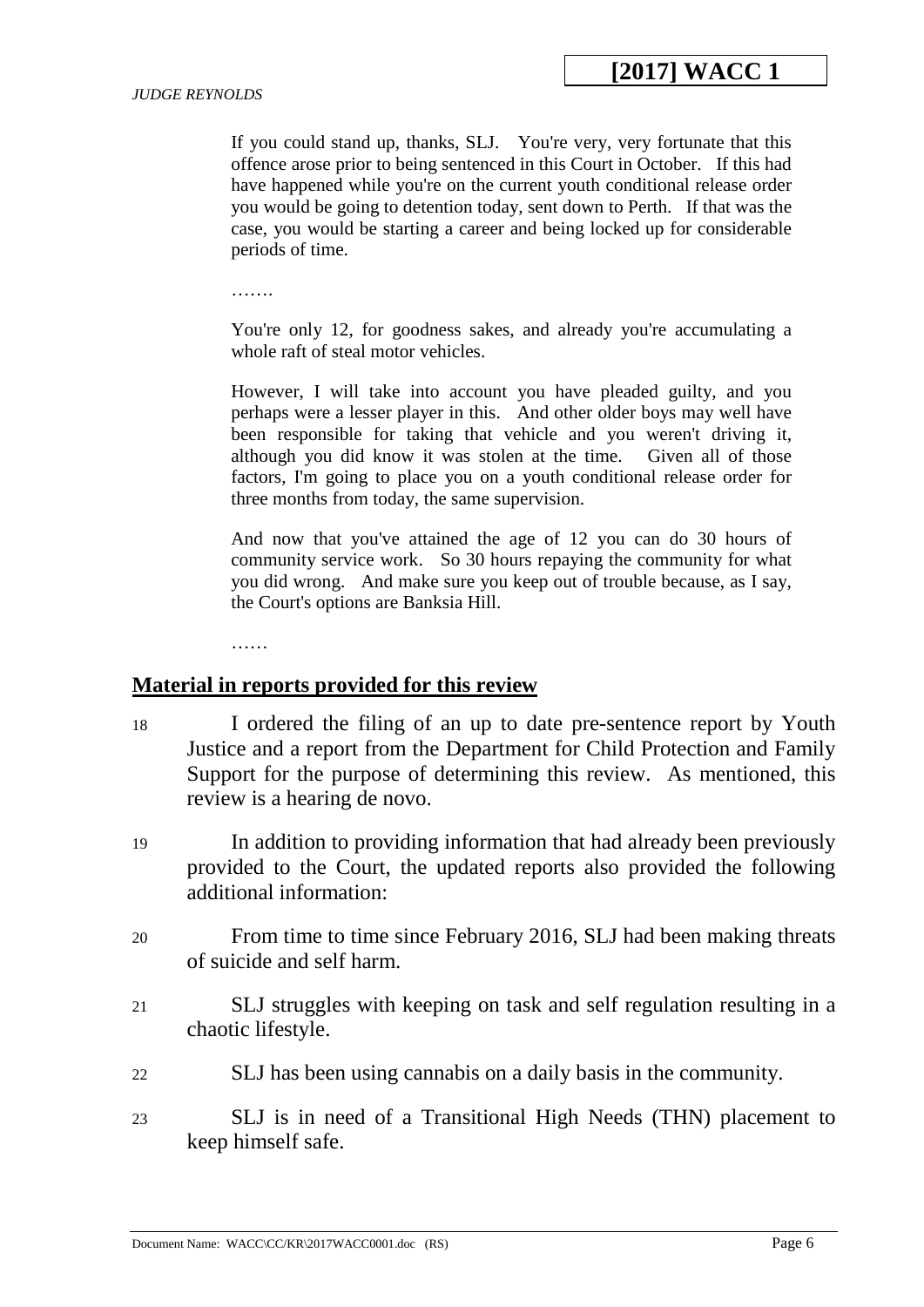If you could stand up, thanks, SLJ. You're very, very fortunate that this offence arose prior to being sentenced in this Court in October. If this had have happened while you're on the current youth conditional release order you would be going to detention today, sent down to Perth. If that was the case, you would be starting a career and being locked up for considerable periods of time.

………

You're only 12, for goodness sakes, and already you're accumulating a whole raft of steal motor vehicles.

However, I will take into account you have pleaded guilty, and you perhaps were a lesser player in this. And other older boys may well have been responsible for taking that vehicle and you weren't driving it. although you did know it was stolen at the time. Given all of those factors, I'm going to place you on a youth conditional release order for three months from today, the same supervision.

And now that you've attained the age of 12 you can do 30 hours of community service work. So 30 hours repaying the community for what you did wrong. And make sure you keep out of trouble because, as I say, the Court's options are Banksia Hill.

……

#### **Material in reports provided for this review**

- 18 I ordered the filing of an up to date pre-sentence report by Youth Justice and a report from the Department for Child Protection and Family Support for the purpose of determining this review. As mentioned, this review is a hearing de novo.
- 19 In addition to providing information that had already been previously provided to the Court, the updated reports also provided the following additional information:
- 20 From time to time since February 2016, SLJ had been making threats of suicide and self harm.
- 21 SLJ struggles with keeping on task and self regulation resulting in a chaotic lifestyle.
- 22 SLJ has been using cannabis on a daily basis in the community.
- 23 SLJ is in need of a Transitional High Needs (THN) placement to keep himself safe.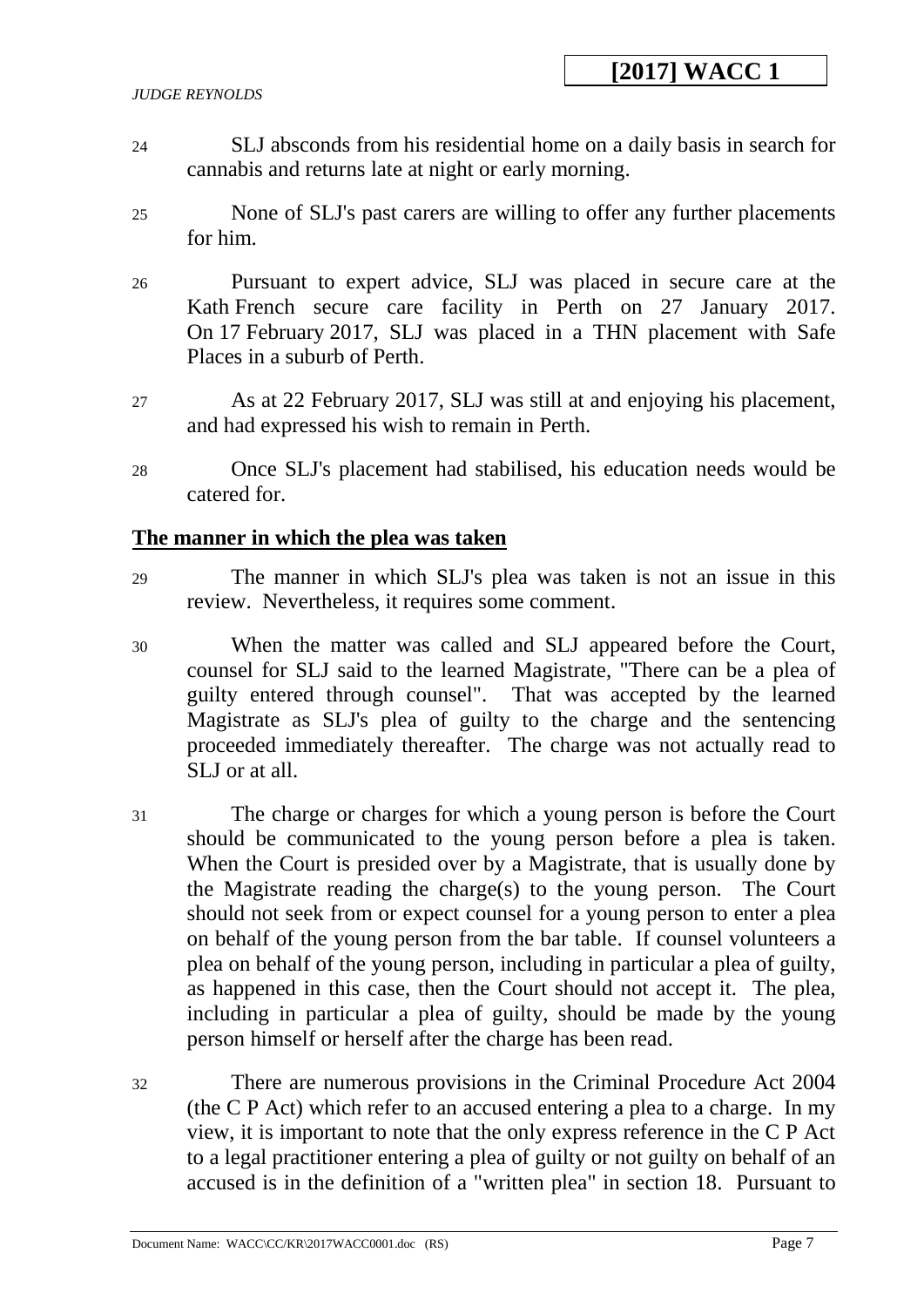- 24 SLJ absconds from his residential home on a daily basis in search for cannabis and returns late at night or early morning.
- 25 None of SLJ's past carers are willing to offer any further placements for him.
- 26 Pursuant to expert advice, SLJ was placed in secure care at the Kath French secure care facility in Perth on 27 January 2017. On 17 February 2017, SLJ was placed in a THN placement with Safe Places in a suburb of Perth.
- 27 As at 22 February 2017, SLJ was still at and enjoying his placement, and had expressed his wish to remain in Perth.
- 28 Once SLJ's placement had stabilised, his education needs would be catered for.

### **The manner in which the plea was taken**

- 29 The manner in which SLJ's plea was taken is not an issue in this review. Nevertheless, it requires some comment.
- 30 When the matter was called and SLJ appeared before the Court, counsel for SLJ said to the learned Magistrate, "There can be a plea of guilty entered through counsel". That was accepted by the learned Magistrate as SLJ's plea of guilty to the charge and the sentencing proceeded immediately thereafter. The charge was not actually read to SLJ or at all.
- 31 The charge or charges for which a young person is before the Court should be communicated to the young person before a plea is taken. When the Court is presided over by a Magistrate, that is usually done by the Magistrate reading the charge(s) to the young person. The Court should not seek from or expect counsel for a young person to enter a plea on behalf of the young person from the bar table. If counsel volunteers a plea on behalf of the young person, including in particular a plea of guilty, as happened in this case, then the Court should not accept it. The plea, including in particular a plea of guilty, should be made by the young person himself or herself after the charge has been read.
- 32 There are numerous provisions in the Criminal Procedure Act 2004 (the C P Act) which refer to an accused entering a plea to a charge. In my view, it is important to note that the only express reference in the C P Act to a legal practitioner entering a plea of guilty or not guilty on behalf of an accused is in the definition of a "written plea" in section 18. Pursuant to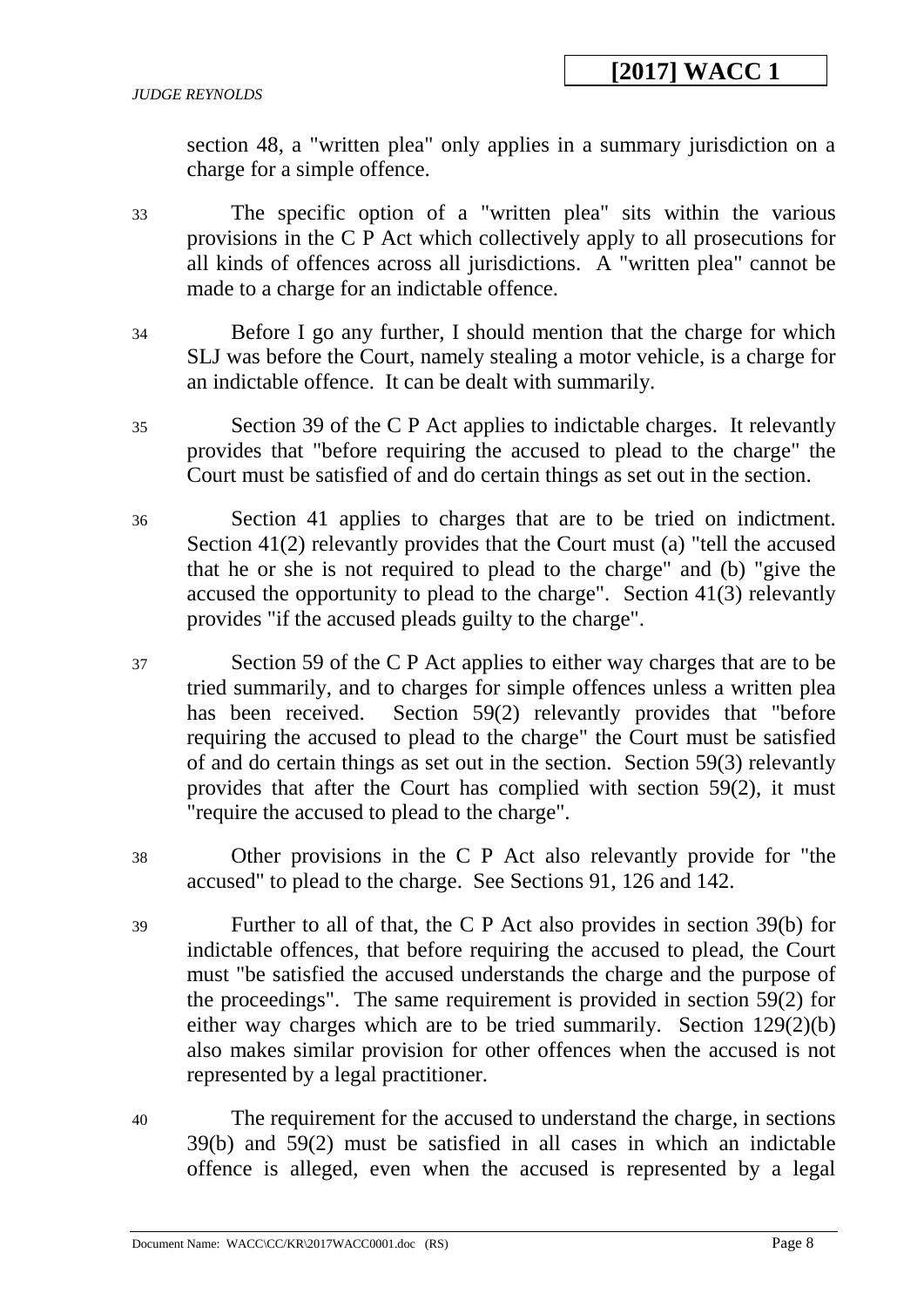section 48, a "written plea" only applies in a summary jurisdiction on a charge for a simple offence.

- 33 The specific option of a "written plea" sits within the various provisions in the C P Act which collectively apply to all prosecutions for all kinds of offences across all jurisdictions. A "written plea" cannot be made to a charge for an indictable offence.
- 34 Before I go any further, I should mention that the charge for which SLJ was before the Court, namely stealing a motor vehicle, is a charge for an indictable offence. It can be dealt with summarily.
- 35 Section 39 of the C P Act applies to indictable charges. It relevantly provides that "before requiring the accused to plead to the charge" the Court must be satisfied of and do certain things as set out in the section.
- 36 Section 41 applies to charges that are to be tried on indictment. Section 41(2) relevantly provides that the Court must (a) "tell the accused that he or she is not required to plead to the charge" and (b) "give the accused the opportunity to plead to the charge". Section 41(3) relevantly provides "if the accused pleads guilty to the charge".
- 37 Section 59 of the C P Act applies to either way charges that are to be tried summarily, and to charges for simple offences unless a written plea has been received. Section 59(2) relevantly provides that "before requiring the accused to plead to the charge" the Court must be satisfied of and do certain things as set out in the section. Section 59(3) relevantly provides that after the Court has complied with section 59(2), it must "require the accused to plead to the charge".
- 38 Other provisions in the C P Act also relevantly provide for "the accused" to plead to the charge. See Sections 91, 126 and 142.
- 39 Further to all of that, the C P Act also provides in section 39(b) for indictable offences, that before requiring the accused to plead, the Court must "be satisfied the accused understands the charge and the purpose of the proceedings". The same requirement is provided in section 59(2) for either way charges which are to be tried summarily. Section 129(2)(b) also makes similar provision for other offences when the accused is not represented by a legal practitioner.
- 40 The requirement for the accused to understand the charge, in sections 39(b) and 59(2) must be satisfied in all cases in which an indictable offence is alleged, even when the accused is represented by a legal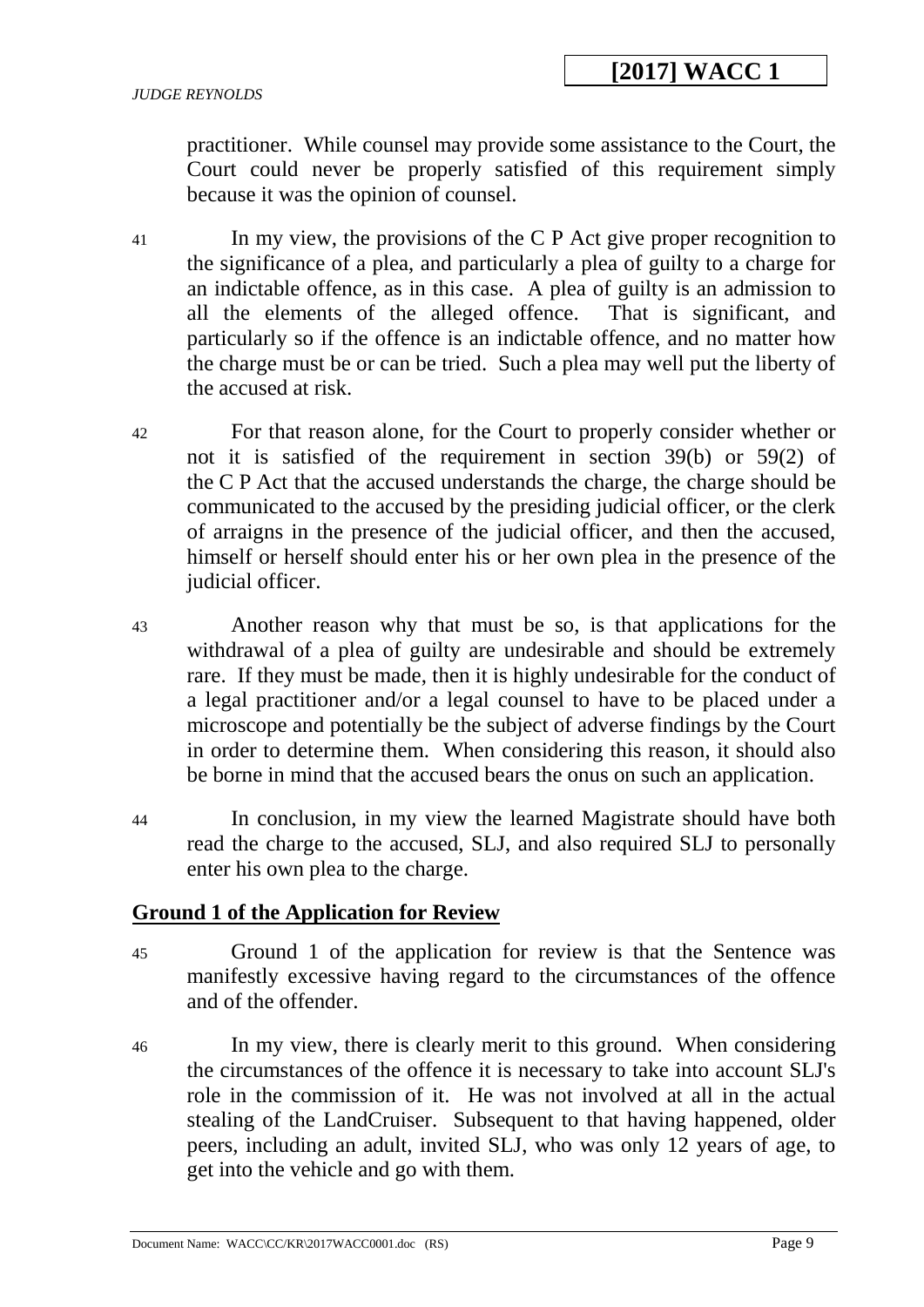practitioner. While counsel may provide some assistance to the Court, the Court could never be properly satisfied of this requirement simply because it was the opinion of counsel.

- 41 In my view, the provisions of the C P Act give proper recognition to the significance of a plea, and particularly a plea of guilty to a charge for an indictable offence, as in this case. A plea of guilty is an admission to all the elements of the alleged offence. That is significant, and particularly so if the offence is an indictable offence, and no matter how the charge must be or can be tried. Such a plea may well put the liberty of the accused at risk.
- 42 For that reason alone, for the Court to properly consider whether or not it is satisfied of the requirement in section 39(b) or 59(2) of the C P Act that the accused understands the charge, the charge should be communicated to the accused by the presiding judicial officer, or the clerk of arraigns in the presence of the judicial officer, and then the accused, himself or herself should enter his or her own plea in the presence of the judicial officer.
- 43 Another reason why that must be so, is that applications for the withdrawal of a plea of guilty are undesirable and should be extremely rare. If they must be made, then it is highly undesirable for the conduct of a legal practitioner and/or a legal counsel to have to be placed under a microscope and potentially be the subject of adverse findings by the Court in order to determine them. When considering this reason, it should also be borne in mind that the accused bears the onus on such an application.
- 44 In conclusion, in my view the learned Magistrate should have both read the charge to the accused, SLJ, and also required SLJ to personally enter his own plea to the charge.

## **Ground 1 of the Application for Review**

- 45 Ground 1 of the application for review is that the Sentence was manifestly excessive having regard to the circumstances of the offence and of the offender.
- 46 In my view, there is clearly merit to this ground. When considering the circumstances of the offence it is necessary to take into account SLJ's role in the commission of it. He was not involved at all in the actual stealing of the LandCruiser. Subsequent to that having happened, older peers, including an adult, invited SLJ, who was only 12 years of age, to get into the vehicle and go with them.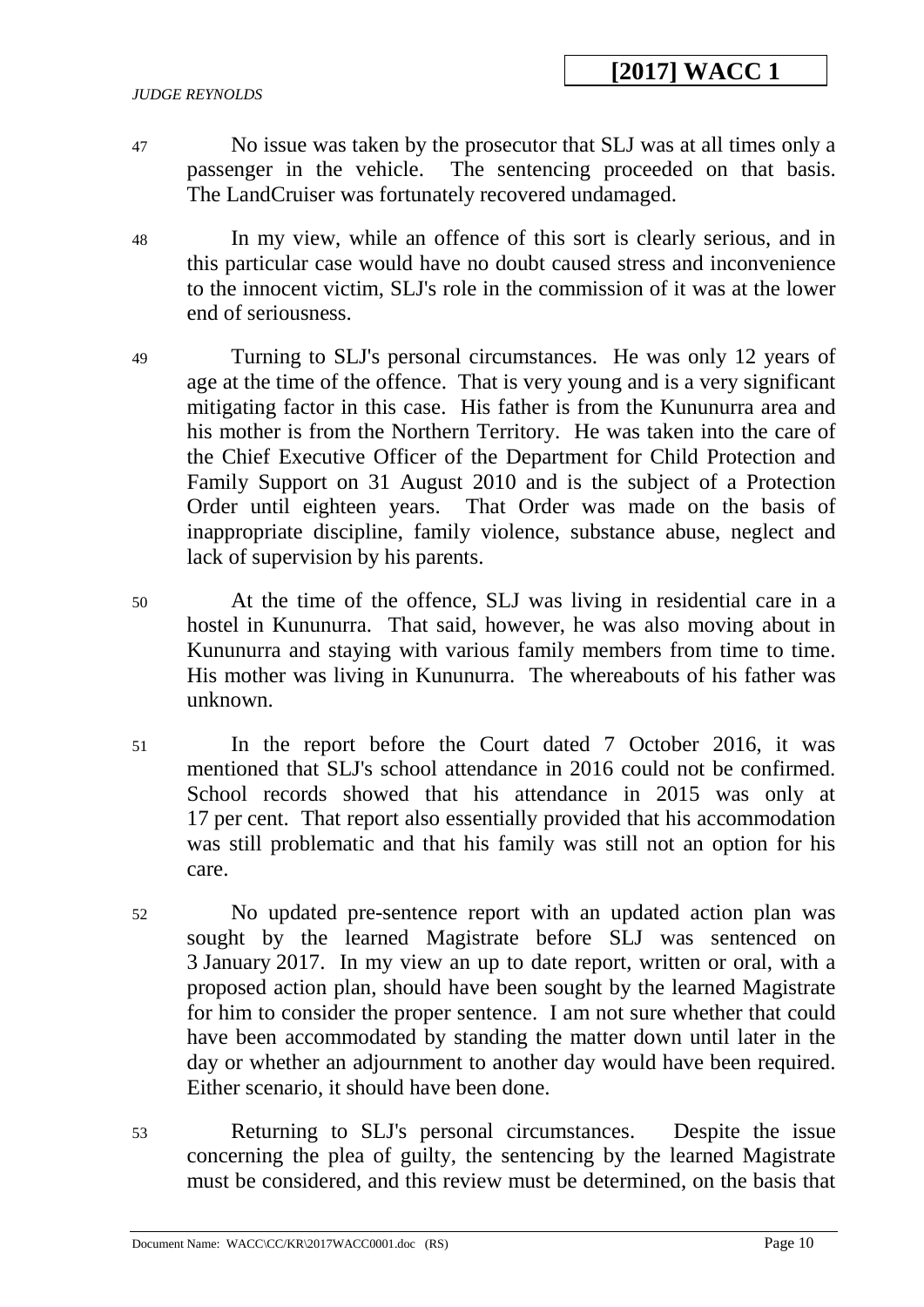#### *JUDGE REYNOLDS*

- 47 No issue was taken by the prosecutor that SLJ was at all times only a passenger in the vehicle. The sentencing proceeded on that basis. The LandCruiser was fortunately recovered undamaged.
- 48 In my view, while an offence of this sort is clearly serious, and in this particular case would have no doubt caused stress and inconvenience to the innocent victim, SLJ's role in the commission of it was at the lower end of seriousness.
- 49 Turning to SLJ's personal circumstances. He was only 12 years of age at the time of the offence. That is very young and is a very significant mitigating factor in this case. His father is from the Kununurra area and his mother is from the Northern Territory. He was taken into the care of the Chief Executive Officer of the Department for Child Protection and Family Support on 31 August 2010 and is the subject of a Protection Order until eighteen years. That Order was made on the basis of inappropriate discipline, family violence, substance abuse, neglect and lack of supervision by his parents.
- 50 At the time of the offence, SLJ was living in residential care in a hostel in Kununurra. That said, however, he was also moving about in Kununurra and staying with various family members from time to time. His mother was living in Kununurra. The whereabouts of his father was unknown.
- 51 In the report before the Court dated 7 October 2016, it was mentioned that SLJ's school attendance in 2016 could not be confirmed. School records showed that his attendance in 2015 was only at 17 per cent. That report also essentially provided that his accommodation was still problematic and that his family was still not an option for his care.
- 52 No updated pre-sentence report with an updated action plan was sought by the learned Magistrate before SLJ was sentenced on 3 January 2017. In my view an up to date report, written or oral, with a proposed action plan, should have been sought by the learned Magistrate for him to consider the proper sentence. I am not sure whether that could have been accommodated by standing the matter down until later in the day or whether an adjournment to another day would have been required. Either scenario, it should have been done.
- 53 Returning to SLJ's personal circumstances. Despite the issue concerning the plea of guilty, the sentencing by the learned Magistrate must be considered, and this review must be determined, on the basis that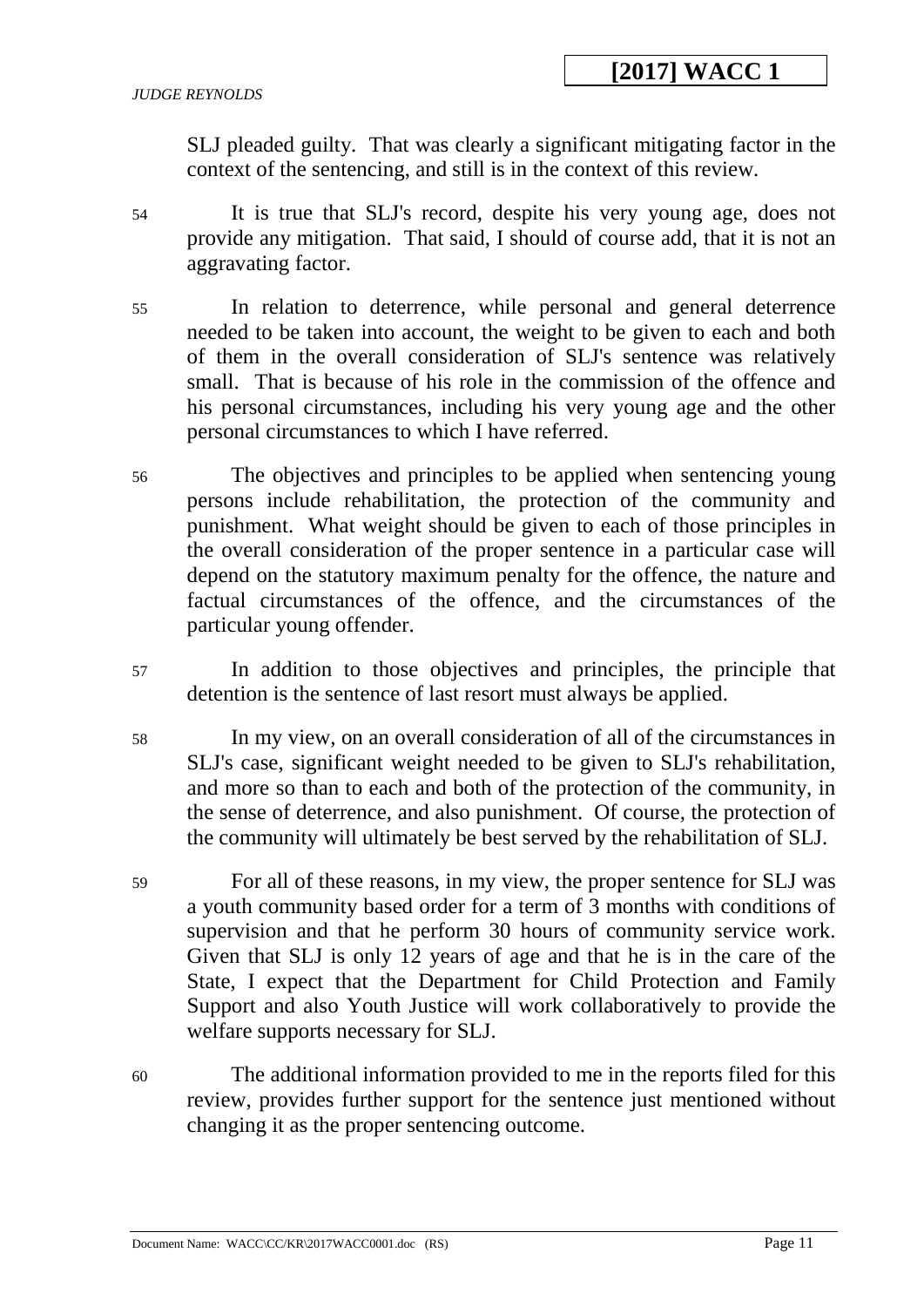SLJ pleaded guilty. That was clearly a significant mitigating factor in the context of the sentencing, and still is in the context of this review.

- 54 It is true that SLJ's record, despite his very young age, does not provide any mitigation. That said, I should of course add, that it is not an aggravating factor.
- 55 In relation to deterrence, while personal and general deterrence needed to be taken into account, the weight to be given to each and both of them in the overall consideration of SLJ's sentence was relatively small. That is because of his role in the commission of the offence and his personal circumstances, including his very young age and the other personal circumstances to which I have referred.
- 56 The objectives and principles to be applied when sentencing young persons include rehabilitation, the protection of the community and punishment. What weight should be given to each of those principles in the overall consideration of the proper sentence in a particular case will depend on the statutory maximum penalty for the offence, the nature and factual circumstances of the offence, and the circumstances of the particular young offender.
- 57 In addition to those objectives and principles, the principle that detention is the sentence of last resort must always be applied.
- 58 In my view, on an overall consideration of all of the circumstances in SLJ's case, significant weight needed to be given to SLJ's rehabilitation, and more so than to each and both of the protection of the community, in the sense of deterrence, and also punishment. Of course, the protection of the community will ultimately be best served by the rehabilitation of SLJ.
- 59 For all of these reasons, in my view, the proper sentence for SLJ was a youth community based order for a term of 3 months with conditions of supervision and that he perform 30 hours of community service work. Given that SLJ is only 12 years of age and that he is in the care of the State, I expect that the Department for Child Protection and Family Support and also Youth Justice will work collaboratively to provide the welfare supports necessary for SLJ.
- 60 The additional information provided to me in the reports filed for this review, provides further support for the sentence just mentioned without changing it as the proper sentencing outcome.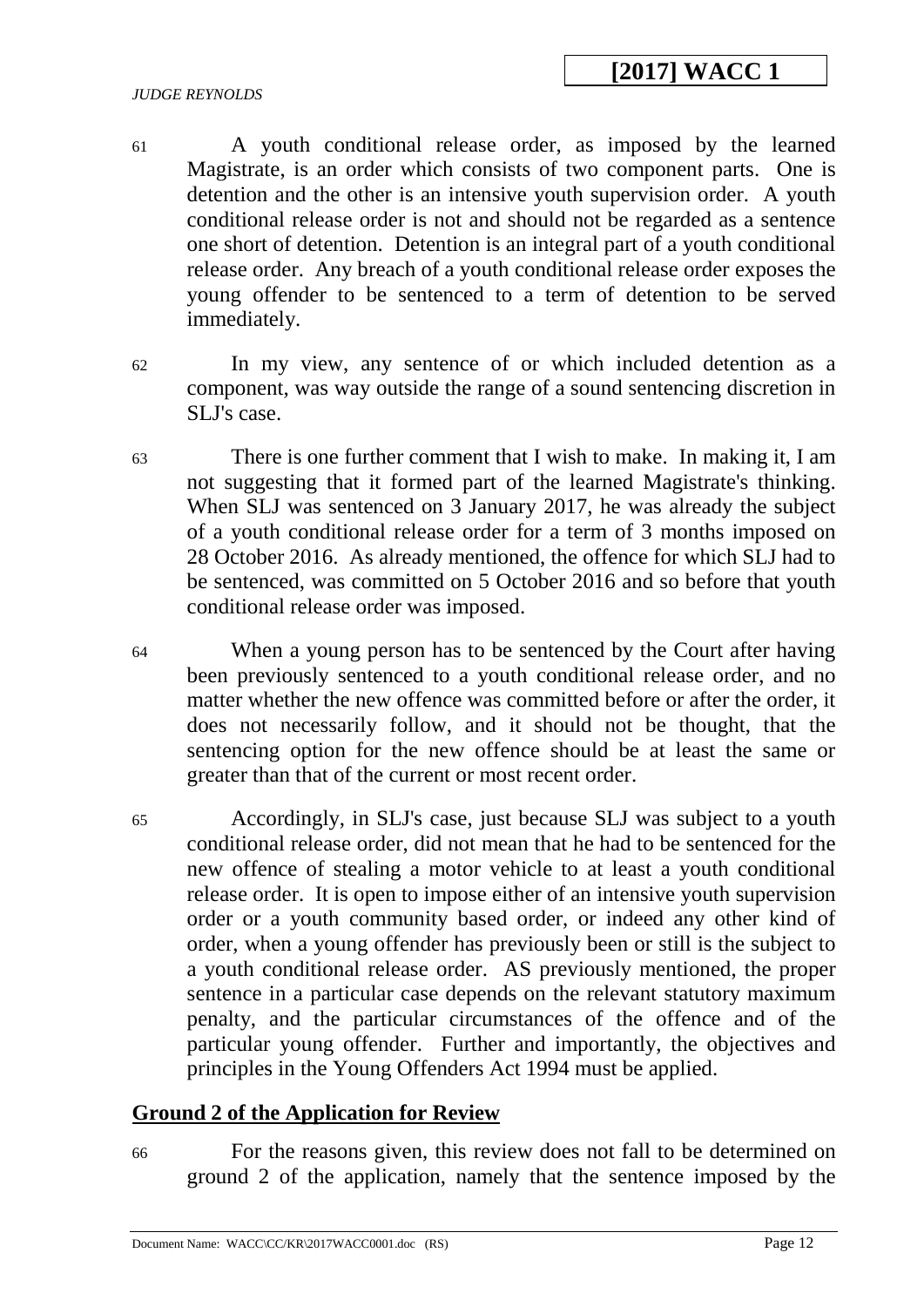# **[2017] WACC 1**

#### *JUDGE REYNOLDS*

- 61 A youth conditional release order, as imposed by the learned Magistrate, is an order which consists of two component parts. One is detention and the other is an intensive youth supervision order. A youth conditional release order is not and should not be regarded as a sentence one short of detention. Detention is an integral part of a youth conditional release order. Any breach of a youth conditional release order exposes the young offender to be sentenced to a term of detention to be served immediately.
- 62 In my view, any sentence of or which included detention as a component, was way outside the range of a sound sentencing discretion in SLJ's case.
- 63 There is one further comment that I wish to make. In making it, I am not suggesting that it formed part of the learned Magistrate's thinking. When SLJ was sentenced on 3 January 2017, he was already the subject of a youth conditional release order for a term of 3 months imposed on 28 October 2016. As already mentioned, the offence for which SLJ had to be sentenced, was committed on 5 October 2016 and so before that youth conditional release order was imposed.
- 64 When a young person has to be sentenced by the Court after having been previously sentenced to a youth conditional release order, and no matter whether the new offence was committed before or after the order, it does not necessarily follow, and it should not be thought, that the sentencing option for the new offence should be at least the same or greater than that of the current or most recent order.
- 65 Accordingly, in SLJ's case, just because SLJ was subject to a youth conditional release order, did not mean that he had to be sentenced for the new offence of stealing a motor vehicle to at least a youth conditional release order. It is open to impose either of an intensive youth supervision order or a youth community based order, or indeed any other kind of order, when a young offender has previously been or still is the subject to a youth conditional release order. AS previously mentioned, the proper sentence in a particular case depends on the relevant statutory maximum penalty, and the particular circumstances of the offence and of the particular young offender. Further and importantly, the objectives and principles in the Young Offenders Act 1994 must be applied.

### **Ground 2 of the Application for Review**

66 For the reasons given, this review does not fall to be determined on ground 2 of the application, namely that the sentence imposed by the